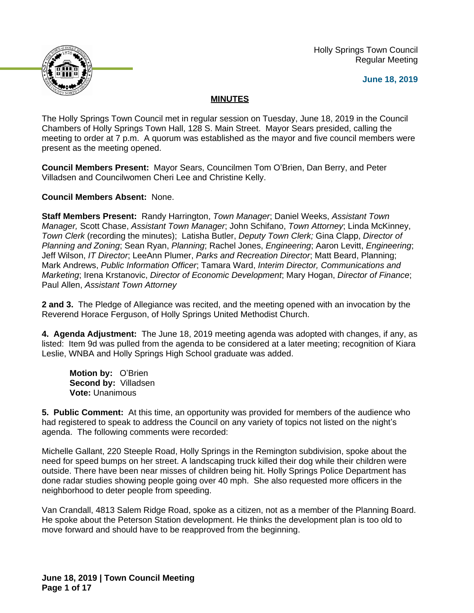

 Holly Springs Town Council Regular Meeting

**June 18, 2019**

# **MINUTES**

The Holly Springs Town Council met in regular session on Tuesday, June 18, 2019 in the Council Chambers of Holly Springs Town Hall, 128 S. Main Street. Mayor Sears presided, calling the meeting to order at 7 p.m. A quorum was established as the mayor and five council members were present as the meeting opened.

**Council Members Present:** Mayor Sears, Councilmen Tom O'Brien, Dan Berry, and Peter Villadsen and Councilwomen Cheri Lee and Christine Kelly.

**Council Members Absent:** None.

**Staff Members Present:** Randy Harrington, *Town Manager*; Daniel Weeks, *Assistant Town Manager,* Scott Chase, *Assistant Town Manager*; John Schifano, *Town Attorney*; Linda McKinney, *Town Clerk* (recording the minutes); Latisha Butler, *Deputy Town Clerk;* Gina Clapp, *Director of Planning and Zoning*; Sean Ryan, *Planning*; Rachel Jones, *Engineering*; Aaron Levitt, *Engineering*; Jeff Wilson, *IT Director*; LeeAnn Plumer, *Parks and Recreation Director*; Matt Beard, Planning; Mark Andrews, *Public Information Officer*; Tamara Ward, *Interim Director, Communications and Marketing*; Irena Krstanovic, *Director of Economic Development*; Mary Hogan, *Director of Finance*; Paul Allen, *Assistant Town Attorney*

**2 and 3.** The Pledge of Allegiance was recited, and the meeting opened with an invocation by the Reverend Horace Ferguson, of Holly Springs United Methodist Church.

**4. Agenda Adjustment:** The June 18, 2019 meeting agenda was adopted with changes, if any, as listed: Item 9d was pulled from the agenda to be considered at a later meeting; recognition of Kiara Leslie, WNBA and Holly Springs High School graduate was added.

**Motion by:** O'Brien **Second by:** Villadsen **Vote:** Unanimous

**5. Public Comment:** At this time, an opportunity was provided for members of the audience who had registered to speak to address the Council on any variety of topics not listed on the night's agenda. The following comments were recorded:

Michelle Gallant, 220 Steeple Road, Holly Springs in the Remington subdivision, spoke about the need for speed bumps on her street. A landscaping truck killed their dog while their children were outside. There have been near misses of children being hit. Holly Springs Police Department has done radar studies showing people going over 40 mph. She also requested more officers in the neighborhood to deter people from speeding.

Van Crandall, 4813 Salem Ridge Road, spoke as a citizen, not as a member of the Planning Board. He spoke about the Peterson Station development. He thinks the development plan is too old to move forward and should have to be reapproved from the beginning.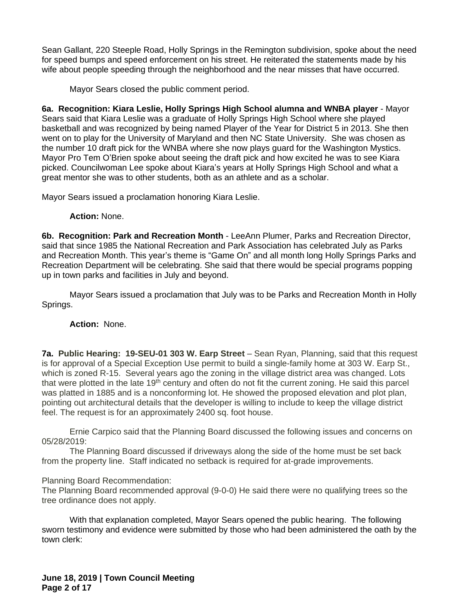Sean Gallant, 220 Steeple Road, Holly Springs in the Remington subdivision, spoke about the need for speed bumps and speed enforcement on his street. He reiterated the statements made by his wife about people speeding through the neighborhood and the near misses that have occurred.

Mayor Sears closed the public comment period.

**6a. Recognition: Kiara Leslie, Holly Springs High School alumna and WNBA player** - Mayor Sears said that Kiara Leslie was a graduate of Holly Springs High School where she played basketball and was recognized by being named Player of the Year for District 5 in 2013. She then went on to play for the University of Maryland and then NC State University. She was chosen as the number 10 draft pick for the WNBA where she now plays guard for the Washington Mystics. Mayor Pro Tem O'Brien spoke about seeing the draft pick and how excited he was to see Kiara picked. Councilwoman Lee spoke about Kiara's years at Holly Springs High School and what a great mentor she was to other students, both as an athlete and as a scholar.

Mayor Sears issued a proclamation honoring Kiara Leslie.

#### **Action:** None.

**6b. Recognition: Park and Recreation Month** - LeeAnn Plumer, Parks and Recreation Director, said that since 1985 the National Recreation and Park Association has celebrated July as Parks and Recreation Month. This year's theme is "Game On" and all month long Holly Springs Parks and Recreation Department will be celebrating. She said that there would be special programs popping up in town parks and facilities in July and beyond.

Mayor Sears issued a proclamation that July was to be Parks and Recreation Month in Holly Springs.

## **Action:** None.

**7a. Public Hearing: 19-SEU-01 303 W. Earp Street** – Sean Ryan, Planning, said that this request is for approval of a Special Exception Use permit to build a single-family home at 303 W. Earp St., which is zoned R-15. Several years ago the zoning in the village district area was changed. Lots that were plotted in the late 19<sup>th</sup> century and often do not fit the current zoning. He said this parcel was platted in 1885 and is a nonconforming lot. He showed the proposed elevation and plot plan, pointing out architectural details that the developer is willing to include to keep the village district feel. The request is for an approximately 2400 sq. foot house.

Ernie Carpico said that the Planning Board discussed the following issues and concerns on 05/28/2019:

The Planning Board discussed if driveways along the side of the home must be set back from the property line. Staff indicated no setback is required for at-grade improvements.

## Planning Board Recommendation:

The Planning Board recommended approval (9-0-0) He said there were no qualifying trees so the tree ordinance does not apply.

With that explanation completed, Mayor Sears opened the public hearing. The following sworn testimony and evidence were submitted by those who had been administered the oath by the town clerk: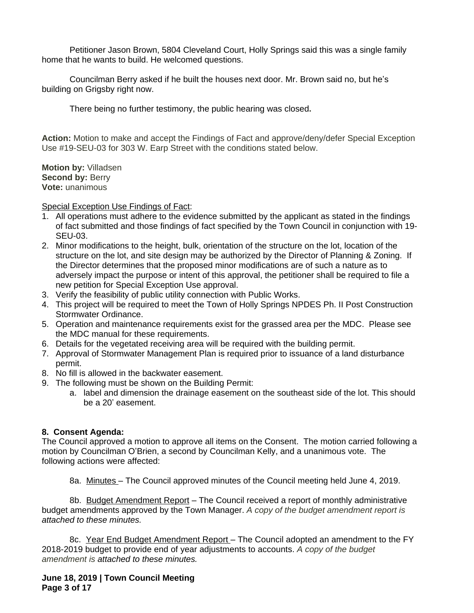Petitioner Jason Brown, 5804 Cleveland Court, Holly Springs said this was a single family home that he wants to build. He welcomed questions.

Councilman Berry asked if he built the houses next door. Mr. Brown said no, but he's building on Grigsby right now.

There being no further testimony, the public hearing was closed**.**

**Action:** Motion to make and accept the Findings of Fact and approve/deny/defer Special Exception Use #19-SEU-03 for 303 W. Earp Street with the conditions stated below.

**Motion by:** Villadsen **Second by: Berry Vote:** unanimous

Special Exception Use Findings of Fact:

- 1. All operations must adhere to the evidence submitted by the applicant as stated in the findings of fact submitted and those findings of fact specified by the Town Council in conjunction with 19- SEU-03.
- 2. Minor modifications to the height, bulk, orientation of the structure on the lot, location of the structure on the lot, and site design may be authorized by the Director of Planning & Zoning. If the Director determines that the proposed minor modifications are of such a nature as to adversely impact the purpose or intent of this approval, the petitioner shall be required to file a new petition for Special Exception Use approval.
- 3. Verify the feasibility of public utility connection with Public Works.
- 4. This project will be required to meet the Town of Holly Springs NPDES Ph. II Post Construction Stormwater Ordinance.
- 5. Operation and maintenance requirements exist for the grassed area per the MDC. Please see the MDC manual for these requirements.
- 6. Details for the vegetated receiving area will be required with the building permit.
- 7. Approval of Stormwater Management Plan is required prior to issuance of a land disturbance permit.
- 8. No fill is allowed in the backwater easement.
- 9. The following must be shown on the Building Permit:
	- a. label and dimension the drainage easement on the southeast side of the lot. This should be a 20' easement.

## **8. Consent Agenda:**

The Council approved a motion to approve all items on the Consent. The motion carried following a motion by Councilman O'Brien, a second by Councilman Kelly, and a unanimous vote. The following actions were affected:

8a. Minutes - The Council approved minutes of the Council meeting held June 4, 2019.

8b. Budget Amendment Report – The Council received a report of monthly administrative budget amendments approved by the Town Manager. *A copy of the budget amendment report is attached to these minutes.*

8c. Year End Budget Amendment Report - The Council adopted an amendment to the FY 2018-2019 budget to provide end of year adjustments to accounts. *A copy of the budget amendment is attached to these minutes.*

**June 18, 2019 | Town Council Meeting Page 3 of 17**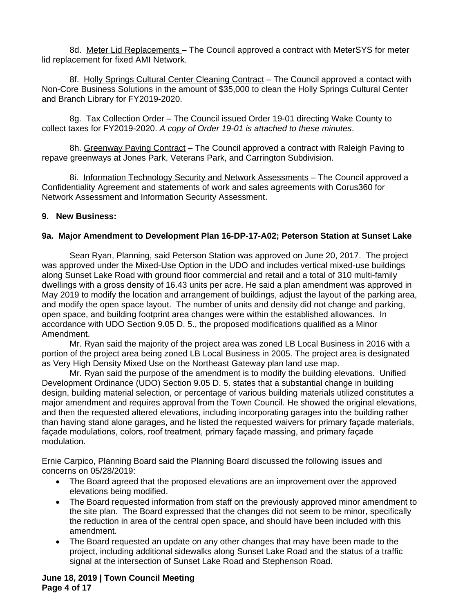8d. Meter Lid Replacements - The Council approved a contract with MeterSYS for meter lid replacement for fixed AMI Network.

8f. Holly Springs Cultural Center Cleaning Contract – The Council approved a contact with Non-Core Business Solutions in the amount of \$35,000 to clean the Holly Springs Cultural Center and Branch Library for FY2019-2020.

8g. Tax Collection Order – The Council issued Order 19-01 directing Wake County to collect taxes for FY2019-2020. *A copy of Order 19-01 is attached to these minutes*.

8h. Greenway Paving Contract - The Council approved a contract with Raleigh Paving to repave greenways at Jones Park, Veterans Park, and Carrington Subdivision.

8i. Information Technology Security and Network Assessments – The Council approved a Confidentiality Agreement and statements of work and sales agreements with Corus360 for Network Assessment and Information Security Assessment.

# **9. New Business:**

# **9a. Major Amendment to Development Plan 16-DP-17-A02; Peterson Station at Sunset Lake**

Sean Ryan, Planning, said Peterson Station was approved on June 20, 2017. The project was approved under the Mixed-Use Option in the UDO and includes vertical mixed-use buildings along Sunset Lake Road with ground floor commercial and retail and a total of 310 multi-family dwellings with a gross density of 16.43 units per acre. He said a plan amendment was approved in May 2019 to modify the location and arrangement of buildings, adjust the layout of the parking area, and modify the open space layout. The number of units and density did not change and parking, open space, and building footprint area changes were within the established allowances. In accordance with UDO Section 9.05 D. 5., the proposed modifications qualified as a Minor Amendment.

Mr. Ryan said the majority of the project area was zoned LB Local Business in 2016 with a portion of the project area being zoned LB Local Business in 2005. The project area is designated as Very High Density Mixed Use on the Northeast Gateway plan land use map.

Mr. Ryan said the purpose of the amendment is to modify the building elevations. Unified Development Ordinance (UDO) Section 9.05 D. 5. states that a substantial change in building design, building material selection, or percentage of various building materials utilized constitutes a major amendment and requires approval from the Town Council. He showed the original elevations, and then the requested altered elevations, including incorporating garages into the building rather than having stand alone garages, and he listed the requested waivers for primary façade materials, façade modulations, colors, roof treatment, primary façade massing, and primary façade modulation.

Ernie Carpico, Planning Board said the Planning Board discussed the following issues and concerns on 05/28/2019:

- The Board agreed that the proposed elevations are an improvement over the approved elevations being modified.
- The Board requested information from staff on the previously approved minor amendment to the site plan. The Board expressed that the changes did not seem to be minor, specifically the reduction in area of the central open space, and should have been included with this amendment.
- The Board requested an update on any other changes that may have been made to the project, including additional sidewalks along Sunset Lake Road and the status of a traffic signal at the intersection of Sunset Lake Road and Stephenson Road.

**June 18, 2019 | Town Council Meeting Page 4 of 17**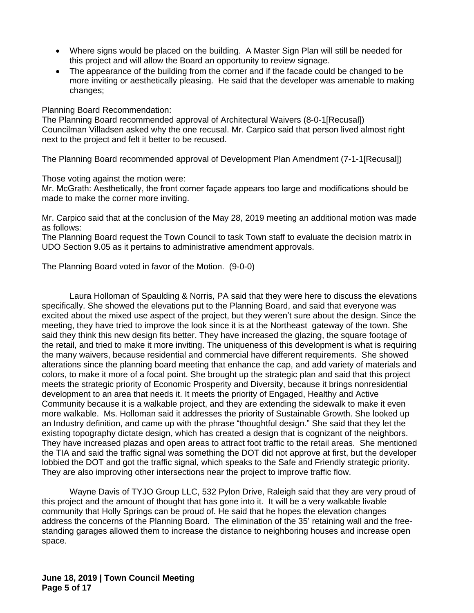- Where signs would be placed on the building. A Master Sign Plan will still be needed for this project and will allow the Board an opportunity to review signage.
- The appearance of the building from the corner and if the facade could be changed to be more inviting or aesthetically pleasing. He said that the developer was amenable to making changes;

Planning Board Recommendation:

The Planning Board recommended approval of Architectural Waivers (8-0-1[Recusal]) Councilman Villadsen asked why the one recusal. Mr. Carpico said that person lived almost right next to the project and felt it better to be recused.

The Planning Board recommended approval of Development Plan Amendment (7-1-1[Recusal])

Those voting against the motion were:

Mr. McGrath: Aesthetically, the front corner façade appears too large and modifications should be made to make the corner more inviting.

Mr. Carpico said that at the conclusion of the May 28, 2019 meeting an additional motion was made as follows:

The Planning Board request the Town Council to task Town staff to evaluate the decision matrix in UDO Section 9.05 as it pertains to administrative amendment approvals.

The Planning Board voted in favor of the Motion. (9-0-0)

Laura Holloman of Spaulding & Norris, PA said that they were here to discuss the elevations specifically. She showed the elevations put to the Planning Board, and said that everyone was excited about the mixed use aspect of the project, but they weren't sure about the design. Since the meeting, they have tried to improve the look since it is at the Northeast gateway of the town. She said they think this new design fits better. They have increased the glazing, the square footage of the retail, and tried to make it more inviting. The uniqueness of this development is what is requiring the many waivers, because residential and commercial have different requirements. She showed alterations since the planning board meeting that enhance the cap, and add variety of materials and colors, to make it more of a focal point. She brought up the strategic plan and said that this project meets the strategic priority of Economic Prosperity and Diversity, because it brings nonresidential development to an area that needs it. It meets the priority of Engaged, Healthy and Active Community because it is a walkable project, and they are extending the sidewalk to make it even more walkable. Ms. Holloman said it addresses the priority of Sustainable Growth. She looked up an Industry definition, and came up with the phrase "thoughtful design." She said that they let the existing topography dictate design, which has created a design that is cognizant of the neighbors. They have increased plazas and open areas to attract foot traffic to the retail areas. She mentioned the TIA and said the traffic signal was something the DOT did not approve at first, but the developer lobbied the DOT and got the traffic signal, which speaks to the Safe and Friendly strategic priority. They are also improving other intersections near the project to improve traffic flow.

Wayne Davis of TYJO Group LLC, 532 Pylon Drive, Raleigh said that they are very proud of this project and the amount of thought that has gone into it. It will be a very walkable livable community that Holly Springs can be proud of. He said that he hopes the elevation changes address the concerns of the Planning Board. The elimination of the 35' retaining wall and the freestanding garages allowed them to increase the distance to neighboring houses and increase open space.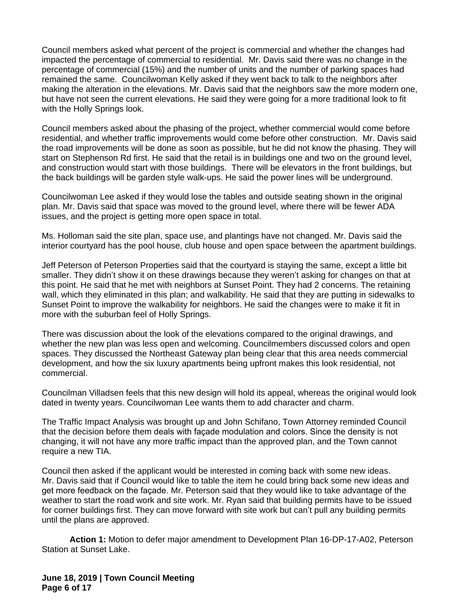Council members asked what percent of the project is commercial and whether the changes had impacted the percentage of commercial to residential. Mr. Davis said there was no change in the percentage of commercial (15%) and the number of units and the number of parking spaces had remained the same. Councilwoman Kelly asked if they went back to talk to the neighbors after making the alteration in the elevations. Mr. Davis said that the neighbors saw the more modern one, but have not seen the current elevations. He said they were going for a more traditional look to fit with the Holly Springs look.

Council members asked about the phasing of the project, whether commercial would come before residential, and whether traffic improvements would come before other construction. Mr. Davis said the road improvements will be done as soon as possible, but he did not know the phasing. They will start on Stephenson Rd first. He said that the retail is in buildings one and two on the ground level, and construction would start with those buildings. There will be elevators in the front buildings, but the back buildings will be garden style walk-ups. He said the power lines will be underground.

Councilwoman Lee asked if they would lose the tables and outside seating shown in the original plan. Mr. Davis said that space was moved to the ground level, where there will be fewer ADA issues, and the project is getting more open space in total.

Ms. Holloman said the site plan, space use, and plantings have not changed. Mr. Davis said the interior courtyard has the pool house, club house and open space between the apartment buildings.

Jeff Peterson of Peterson Properties said that the courtyard is staying the same, except a little bit smaller. They didn't show it on these drawings because they weren't asking for changes on that at this point. He said that he met with neighbors at Sunset Point. They had 2 concerns. The retaining wall, which they eliminated in this plan; and walkability. He said that they are putting in sidewalks to Sunset Point to improve the walkability for neighbors. He said the changes were to make it fit in more with the suburban feel of Holly Springs.

There was discussion about the look of the elevations compared to the original drawings, and whether the new plan was less open and welcoming. Councilmembers discussed colors and open spaces. They discussed the Northeast Gateway plan being clear that this area needs commercial development, and how the six luxury apartments being upfront makes this look residential, not commercial.

Councilman Villadsen feels that this new design will hold its appeal, whereas the original would look dated in twenty years. Councilwoman Lee wants them to add character and charm.

The Traffic Impact Analysis was brought up and John Schifano, Town Attorney reminded Council that the decision before them deals with façade modulation and colors. Since the density is not changing, it will not have any more traffic impact than the approved plan, and the Town cannot require a new TIA.

Council then asked if the applicant would be interested in coming back with some new ideas. Mr. Davis said that if Council would like to table the item he could bring back some new ideas and get more feedback on the façade. Mr. Peterson said that they would like to take advantage of the weather to start the road work and site work. Mr. Ryan said that building permits have to be issued for corner buildings first. They can move forward with site work but can't pull any building permits until the plans are approved.

**Action 1:** Motion to defer major amendment to Development Plan 16-DP-17-A02, Peterson Station at Sunset Lake.

**June 18, 2019 | Town Council Meeting Page 6 of 17**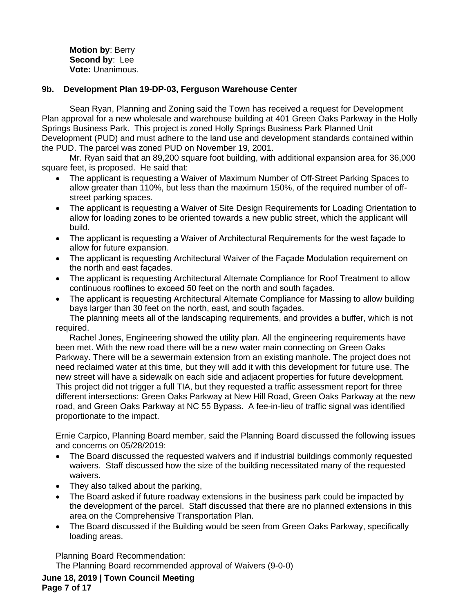**Motion by**: Berry **Second by**: Lee **Vote:** Unanimous.

### **9b. Development Plan 19-DP-03, Ferguson Warehouse Center**

Sean Ryan, Planning and Zoning said the Town has received a request for Development Plan approval for a new wholesale and warehouse building at 401 Green Oaks Parkway in the Holly Springs Business Park. This project is zoned Holly Springs Business Park Planned Unit Development (PUD) and must adhere to the land use and development standards contained within the PUD. The parcel was zoned PUD on November 19, 2001.

Mr. Ryan said that an 89,200 square foot building, with additional expansion area for 36,000 square feet, is proposed. He said that:

- The applicant is requesting a Waiver of Maximum Number of Off-Street Parking Spaces to allow greater than 110%, but less than the maximum 150%, of the required number of offstreet parking spaces.
- The applicant is requesting a Waiver of Site Design Requirements for Loading Orientation to allow for loading zones to be oriented towards a new public street, which the applicant will build.
- The applicant is requesting a Waiver of Architectural Requirements for the west façade to allow for future expansion.
- The applicant is requesting Architectural Waiver of the Façade Modulation requirement on the north and east façades.
- The applicant is requesting Architectural Alternate Compliance for Roof Treatment to allow continuous rooflines to exceed 50 feet on the north and south façades.
- The applicant is requesting Architectural Alternate Compliance for Massing to allow building bays larger than 30 feet on the north, east, and south façades.

The planning meets all of the landscaping requirements, and provides a buffer, which is not required.

Rachel Jones, Engineering showed the utility plan. All the engineering requirements have been met. With the new road there will be a new water main connecting on Green Oaks Parkway. There will be a sewermain extension from an existing manhole. The project does not need reclaimed water at this time, but they will add it with this development for future use. The new street will have a sidewalk on each side and adjacent properties for future development. This project did not trigger a full TIA, but they requested a traffic assessment report for three different intersections: Green Oaks Parkway at New Hill Road, Green Oaks Parkway at the new road, and Green Oaks Parkway at NC 55 Bypass. A fee-in-lieu of traffic signal was identified proportionate to the impact.

Ernie Carpico, Planning Board member, said the Planning Board discussed the following issues and concerns on 05/28/2019:

- The Board discussed the requested waivers and if industrial buildings commonly requested waivers. Staff discussed how the size of the building necessitated many of the requested waivers.
- They also talked about the parking,
- The Board asked if future roadway extensions in the business park could be impacted by the development of the parcel. Staff discussed that there are no planned extensions in this area on the Comprehensive Transportation Plan.
- The Board discussed if the Building would be seen from Green Oaks Parkway, specifically loading areas.

Planning Board Recommendation:

The Planning Board recommended approval of Waivers (9-0-0)

**June 18, 2019 | Town Council Meeting Page 7 of 17**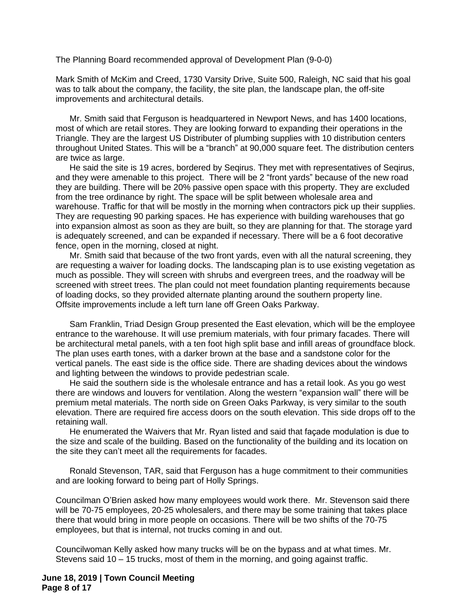The Planning Board recommended approval of Development Plan (9-0-0)

Mark Smith of McKim and Creed, 1730 Varsity Drive, Suite 500, Raleigh, NC said that his goal was to talk about the company, the facility, the site plan, the landscape plan, the off-site improvements and architectural details.

Mr. Smith said that Ferguson is headquartered in Newport News, and has 1400 locations, most of which are retail stores. They are looking forward to expanding their operations in the Triangle. They are the largest US Distributer of plumbing supplies with 10 distribution centers throughout United States. This will be a "branch" at 90,000 square feet. The distribution centers are twice as large.

He said the site is 19 acres, bordered by Seqirus. They met with representatives of Seqirus, and they were amenable to this project. There will be 2 "front yards" because of the new road they are building. There will be 20% passive open space with this property. They are excluded from the tree ordinance by right. The space will be split between wholesale area and warehouse. Traffic for that will be mostly in the morning when contractors pick up their supplies. They are requesting 90 parking spaces. He has experience with building warehouses that go into expansion almost as soon as they are built, so they are planning for that. The storage yard is adequately screened, and can be expanded if necessary. There will be a 6 foot decorative fence, open in the morning, closed at night.

Mr. Smith said that because of the two front yards, even with all the natural screening, they are requesting a waiver for loading docks. The landscaping plan is to use existing vegetation as much as possible. They will screen with shrubs and evergreen trees, and the roadway will be screened with street trees. The plan could not meet foundation planting requirements because of loading docks, so they provided alternate planting around the southern property line. Offsite improvements include a left turn lane off Green Oaks Parkway.

Sam Franklin, Triad Design Group presented the East elevation, which will be the employee entrance to the warehouse. It will use premium materials, with four primary facades. There will be architectural metal panels, with a ten foot high split base and infill areas of groundface block. The plan uses earth tones, with a darker brown at the base and a sandstone color for the vertical panels. The east side is the office side. There are shading devices about the windows and lighting between the windows to provide pedestrian scale.

He said the southern side is the wholesale entrance and has a retail look. As you go west there are windows and louvers for ventilation. Along the western "expansion wall" there will be premium metal materials. The north side on Green Oaks Parkway, is very similar to the south elevation. There are required fire access doors on the south elevation. This side drops off to the retaining wall.

He enumerated the Waivers that Mr. Ryan listed and said that façade modulation is due to the size and scale of the building. Based on the functionality of the building and its location on the site they can't meet all the requirements for facades.

Ronald Stevenson, TAR, said that Ferguson has a huge commitment to their communities and are looking forward to being part of Holly Springs.

Councilman O'Brien asked how many employees would work there. Mr. Stevenson said there will be 70-75 employees, 20-25 wholesalers, and there may be some training that takes place there that would bring in more people on occasions. There will be two shifts of the 70-75 employees, but that is internal, not trucks coming in and out.

Councilwoman Kelly asked how many trucks will be on the bypass and at what times. Mr. Stevens said 10 – 15 trucks, most of them in the morning, and going against traffic.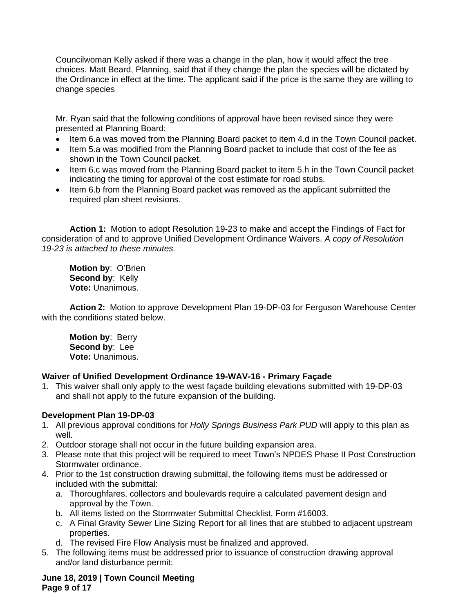Councilwoman Kelly asked if there was a change in the plan, how it would affect the tree choices. Matt Beard, Planning, said that if they change the plan the species will be dictated by the Ordinance in effect at the time. The applicant said if the price is the same they are willing to change species

Mr. Ryan said that the following conditions of approval have been revised since they were presented at Planning Board:

- Item 6.a was moved from the Planning Board packet to item 4.d in the Town Council packet.
- Item 5.a was modified from the Planning Board packet to include that cost of the fee as shown in the Town Council packet.
- Item 6.c was moved from the Planning Board packet to item 5.h in the Town Council packet indicating the timing for approval of the cost estimate for road stubs.
- Item 6.b from the Planning Board packet was removed as the applicant submitted the required plan sheet revisions.

**Action 1:** Motion to adopt Resolution 19-23 to make and accept the Findings of Fact for consideration of and to approve Unified Development Ordinance Waivers. *A copy of Resolution 19-23 is attached to these minutes.*

**Motion by**: O'Brien **Second by**: Kelly **Vote:** Unanimous.

**Action 2:** Motion to approve Development Plan 19-DP-03 for Ferguson Warehouse Center with the conditions stated below.

**Motion by**: Berry **Second by**: Lee **Vote:** Unanimous.

## **Waiver of Unified Development Ordinance 19-WAV-16 - Primary Façade**

1. This waiver shall only apply to the west façade building elevations submitted with 19-DP-03 and shall not apply to the future expansion of the building.

# **Development Plan 19-DP-03**

- 1. All previous approval conditions for *Holly Springs Business Park PUD* will apply to this plan as well.
- 2. Outdoor storage shall not occur in the future building expansion area.
- 3. Please note that this project will be required to meet Town's NPDES Phase II Post Construction Stormwater ordinance.
- 4. Prior to the 1st construction drawing submittal, the following items must be addressed or included with the submittal:
	- a. Thoroughfares, collectors and boulevards require a calculated pavement design and approval by the Town.
	- b. All items listed on the Stormwater Submittal Checklist, Form #16003.
	- c. A Final Gravity Sewer Line Sizing Report for all lines that are stubbed to adjacent upstream properties.
	- d. The revised Fire Flow Analysis must be finalized and approved.
- 5. The following items must be addressed prior to issuance of construction drawing approval and/or land disturbance permit:

**June 18, 2019 | Town Council Meeting Page 9 of 17**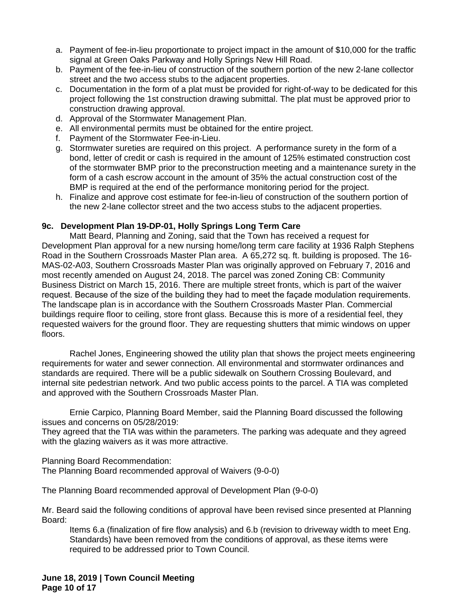- a. Payment of fee-in-lieu proportionate to project impact in the amount of \$10,000 for the traffic signal at Green Oaks Parkway and Holly Springs New Hill Road.
- b. Payment of the fee-in-lieu of construction of the southern portion of the new 2-lane collector street and the two access stubs to the adjacent properties.
- c. Documentation in the form of a plat must be provided for right-of-way to be dedicated for this project following the 1st construction drawing submittal. The plat must be approved prior to construction drawing approval.
- d. Approval of the Stormwater Management Plan.
- e. All environmental permits must be obtained for the entire project.
- f. Payment of the Stormwater Fee-in-Lieu.
- g. Stormwater sureties are required on this project. A performance surety in the form of a bond, letter of credit or cash is required in the amount of 125% estimated construction cost of the stormwater BMP prior to the preconstruction meeting and a maintenance surety in the form of a cash escrow account in the amount of 35% the actual construction cost of the BMP is required at the end of the performance monitoring period for the project.
- h. Finalize and approve cost estimate for fee-in-lieu of construction of the southern portion of the new 2-lane collector street and the two access stubs to the adjacent properties.

# **9c. Development Plan 19-DP-01, Holly Springs Long Term Care**

Matt Beard, Planning and Zoning, said that the Town has received a request for Development Plan approval for a new nursing home/long term care facility at 1936 Ralph Stephens Road in the Southern Crossroads Master Plan area. A 65,272 sq. ft. building is proposed. The 16- MAS-02-A03, Southern Crossroads Master Plan was originally approved on February 7, 2016 and most recently amended on August 24, 2018. The parcel was zoned Zoning CB: Community Business District on March 15, 2016. There are multiple street fronts, which is part of the waiver request. Because of the size of the building they had to meet the façade modulation requirements. The landscape plan is in accordance with the Southern Crossroads Master Plan. Commercial buildings require floor to ceiling, store front glass. Because this is more of a residential feel, they requested waivers for the ground floor. They are requesting shutters that mimic windows on upper floors.

Rachel Jones, Engineering showed the utility plan that shows the project meets engineering requirements for water and sewer connection. All environmental and stormwater ordinances and standards are required. There will be a public sidewalk on Southern Crossing Boulevard, and internal site pedestrian network. And two public access points to the parcel. A TIA was completed and approved with the Southern Crossroads Master Plan.

Ernie Carpico, Planning Board Member, said the Planning Board discussed the following issues and concerns on 05/28/2019:

They agreed that the TIA was within the parameters. The parking was adequate and they agreed with the glazing waivers as it was more attractive.

Planning Board Recommendation:

The Planning Board recommended approval of Waivers (9-0-0)

The Planning Board recommended approval of Development Plan (9-0-0)

Mr. Beard said the following conditions of approval have been revised since presented at Planning Board:

Items 6.a (finalization of fire flow analysis) and 6.b (revision to driveway width to meet Eng. Standards) have been removed from the conditions of approval, as these items were required to be addressed prior to Town Council.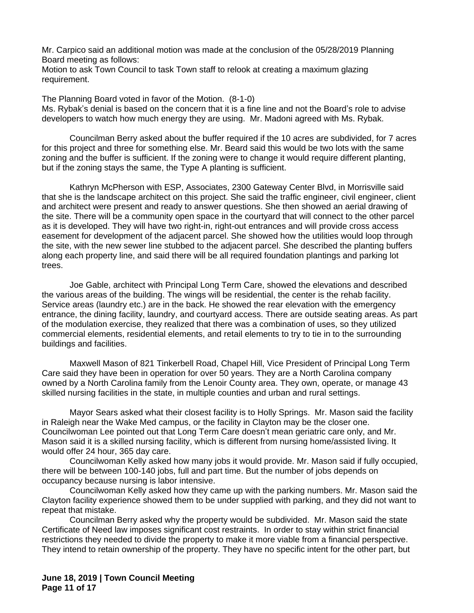Mr. Carpico said an additional motion was made at the conclusion of the 05/28/2019 Planning Board meeting as follows:

Motion to ask Town Council to task Town staff to relook at creating a maximum glazing requirement.

The Planning Board voted in favor of the Motion. (8-1-0) Ms. Rybak's denial is based on the concern that it is a fine line and not the Board's role to advise developers to watch how much energy they are using. Mr. Madoni agreed with Ms. Rybak.

Councilman Berry asked about the buffer required if the 10 acres are subdivided, for 7 acres for this project and three for something else. Mr. Beard said this would be two lots with the same zoning and the buffer is sufficient. If the zoning were to change it would require different planting, but if the zoning stays the same, the Type A planting is sufficient.

Kathryn McPherson with ESP, Associates, 2300 Gateway Center Blvd, in Morrisville said that she is the landscape architect on this project. She said the traffic engineer, civil engineer, client and architect were present and ready to answer questions. She then showed an aerial drawing of the site. There will be a community open space in the courtyard that will connect to the other parcel as it is developed. They will have two right-in, right-out entrances and will provide cross access easement for development of the adjacent parcel. She showed how the utilities would loop through the site, with the new sewer line stubbed to the adjacent parcel. She described the planting buffers along each property line, and said there will be all required foundation plantings and parking lot trees.

Joe Gable, architect with Principal Long Term Care, showed the elevations and described the various areas of the building. The wings will be residential, the center is the rehab facility. Service areas (laundry etc.) are in the back. He showed the rear elevation with the emergency entrance, the dining facility, laundry, and courtyard access. There are outside seating areas. As part of the modulation exercise, they realized that there was a combination of uses, so they utilized commercial elements, residential elements, and retail elements to try to tie in to the surrounding buildings and facilities.

Maxwell Mason of 821 Tinkerbell Road, Chapel Hill, Vice President of Principal Long Term Care said they have been in operation for over 50 years. They are a North Carolina company owned by a North Carolina family from the Lenoir County area. They own, operate, or manage 43 skilled nursing facilities in the state, in multiple counties and urban and rural settings.

Mayor Sears asked what their closest facility is to Holly Springs. Mr. Mason said the facility in Raleigh near the Wake Med campus, or the facility in Clayton may be the closer one. Councilwoman Lee pointed out that Long Term Care doesn't mean geriatric care only, and Mr. Mason said it is a skilled nursing facility, which is different from nursing home/assisted living. It would offer 24 hour, 365 day care.

Councilwoman Kelly asked how many jobs it would provide. Mr. Mason said if fully occupied, there will be between 100-140 jobs, full and part time. But the number of jobs depends on occupancy because nursing is labor intensive.

Councilwoman Kelly asked how they came up with the parking numbers. Mr. Mason said the Clayton facility experience showed them to be under supplied with parking, and they did not want to repeat that mistake.

Councilman Berry asked why the property would be subdivided. Mr. Mason said the state Certificate of Need law imposes significant cost restraints. In order to stay within strict financial restrictions they needed to divide the property to make it more viable from a financial perspective. They intend to retain ownership of the property. They have no specific intent for the other part, but

**June 18, 2019 | Town Council Meeting Page 11 of 17**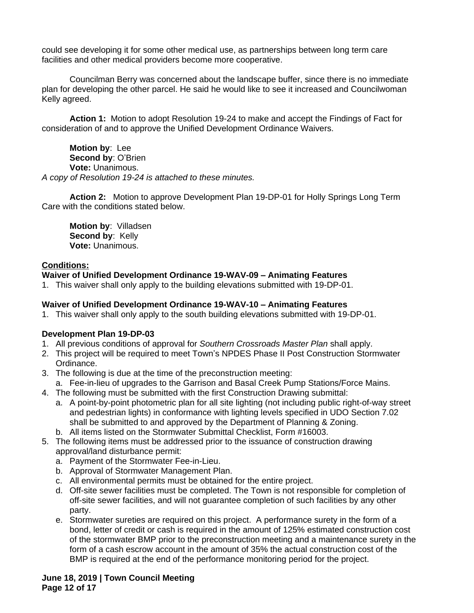could see developing it for some other medical use, as partnerships between long term care facilities and other medical providers become more cooperative.

Councilman Berry was concerned about the landscape buffer, since there is no immediate plan for developing the other parcel. He said he would like to see it increased and Councilwoman Kelly agreed.

**Action 1:** Motion to adopt Resolution 19-24 to make and accept the Findings of Fact for consideration of and to approve the Unified Development Ordinance Waivers.

**Motion by**: Lee **Second by**: O'Brien **Vote:** Unanimous. *A copy of Resolution 19-24 is attached to these minutes.*

**Action 2:** Motion to approve Development Plan 19-DP-01 for Holly Springs Long Term Care with the conditions stated below.

**Motion by**: Villadsen **Second by**: Kelly **Vote:** Unanimous.

## **Conditions:**

## **Waiver of Unified Development Ordinance 19-WAV-09 – Animating Features**

1. This waiver shall only apply to the building elevations submitted with 19-DP-01.

# **Waiver of Unified Development Ordinance 19-WAV-10 – Animating Features**

1. This waiver shall only apply to the south building elevations submitted with 19-DP-01.

## **Development Plan 19-DP-03**

- 1. All previous conditions of approval for *Southern Crossroads Master Plan* shall apply.
- 2. This project will be required to meet Town's NPDES Phase II Post Construction Stormwater Ordinance.
- 3. The following is due at the time of the preconstruction meeting:
- a. Fee-in-lieu of upgrades to the Garrison and Basal Creek Pump Stations/Force Mains.
- 4. The following must be submitted with the first Construction Drawing submittal:
	- a. A point-by-point photometric plan for all site lighting (not including public right-of-way street and pedestrian lights) in conformance with lighting levels specified in UDO Section 7.02 shall be submitted to and approved by the Department of Planning & Zoning.
	- b. All items listed on the Stormwater Submittal Checklist, Form #16003.
- 5. The following items must be addressed prior to the issuance of construction drawing approval/land disturbance permit:
	- a. Payment of the Stormwater Fee-in-Lieu.
	- b. Approval of Stormwater Management Plan.
	- c. All environmental permits must be obtained for the entire project.
	- d. Off-site sewer facilities must be completed. The Town is not responsible for completion of off-site sewer facilities, and will not guarantee completion of such facilities by any other party.
	- e. Stormwater sureties are required on this project. A performance surety in the form of a bond, letter of credit or cash is required in the amount of 125% estimated construction cost of the stormwater BMP prior to the preconstruction meeting and a maintenance surety in the form of a cash escrow account in the amount of 35% the actual construction cost of the BMP is required at the end of the performance monitoring period for the project.

**June 18, 2019 | Town Council Meeting Page 12 of 17**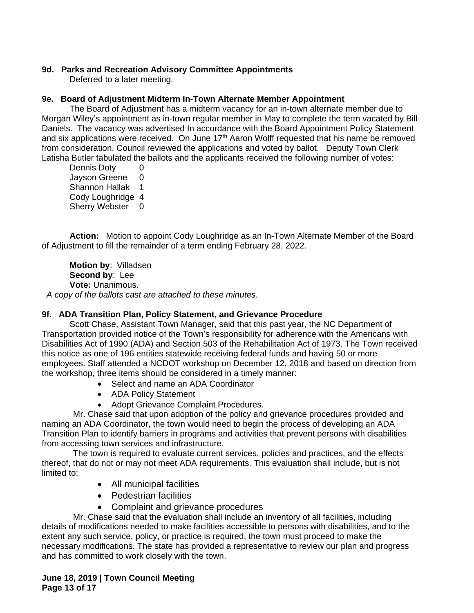# **9d. Parks and Recreation Advisory Committee Appointments**

Deferred to a later meeting.

# **9e. Board of Adjustment Midterm In-Town Alternate Member Appointment**

The Board of Adjustment has a midterm vacancy for an in-town alternate member due to Morgan Wiley's appointment as in-town regular member in May to complete the term vacated by Bill Daniels. The vacancy was advertised In accordance with the Board Appointment Policy Statement and six applications were received. On June 17<sup>th</sup> Aaron Wolff requested that his name be removed from consideration. Council reviewed the applications and voted by ballot. Deputy Town Clerk Latisha Butler tabulated the ballots and the applicants received the following number of votes:

Dennis Doty 0 Jayson Greene 0 Shannon Hallak 1 Cody Loughridge 4 Sherry Webster 0

**Action:** Motion to appoint Cody Loughridge as an In-Town Alternate Member of the Board of Adjustment to fill the remainder of a term ending February 28, 2022.

**Motion by**: Villadsen **Second by**: Lee **Vote:** Unanimous. *A copy of the ballots cast are attached to these minutes.*

## **9f. ADA Transition Plan, Policy Statement, and Grievance Procedure**

Scott Chase, Assistant Town Manager, said that this past year, the NC Department of Transportation provided notice of the Town's responsibility for adherence with the Americans with Disabilities Act of 1990 (ADA) and Section 503 of the Rehabilitation Act of 1973. The Town received this notice as one of 196 entities statewide receiving federal funds and having 50 or more employees. Staff attended a NCDOT workshop on December 12, 2018 and based on direction from the workshop, three items should be considered in a timely manner:

- Select and name an ADA Coordinator
- ADA Policy Statement
- Adopt Grievance Complaint Procedures.

Mr. Chase said that upon adoption of the policy and grievance procedures provided and naming an ADA Coordinator, the town would need to begin the process of developing an ADA Transition Plan to identify barriers in programs and activities that prevent persons with disabilities from accessing town services and infrastructure.

The town is required to evaluate current services, policies and practices, and the effects thereof, that do not or may not meet ADA requirements. This evaluation shall include, but is not limited to:

- All municipal facilities
- Pedestrian facilities
- Complaint and grievance procedures

Mr. Chase said that the evaluation shall include an inventory of all facilities, including details of modifications needed to make facilities accessible to persons with disabilities, and to the extent any such service, policy, or practice is required, the town must proceed to make the necessary modifications. The state has provided a representative to review our plan and progress and has committed to work closely with the town.

**June 18, 2019 | Town Council Meeting Page 13 of 17**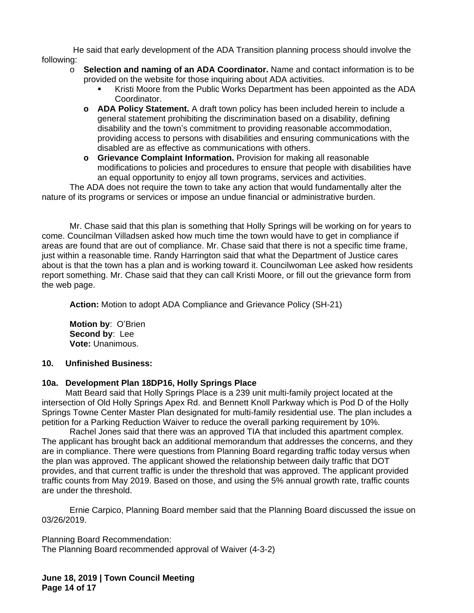He said that early development of the ADA Transition planning process should involve the following:

- o **Selection and naming of an ADA Coordinator.** Name and contact information is to be provided on the website for those inquiring about ADA activities.
	- Kristi Moore from the Public Works Department has been appointed as the ADA Coordinator.
	- **o ADA Policy Statement.** A draft town policy has been included herein to include a general statement prohibiting the discrimination based on a disability, defining disability and the town's commitment to providing reasonable accommodation, providing access to persons with disabilities and ensuring communications with the disabled are as effective as communications with others.
	- **o Grievance Complaint Information.** Provision for making all reasonable modifications to policies and procedures to ensure that people with disabilities have an equal opportunity to enjoy all town programs, services and activities.

The ADA does not require the town to take any action that would fundamentally alter the nature of its programs or services or impose an undue financial or administrative burden.

Mr. Chase said that this plan is something that Holly Springs will be working on for years to come. Councilman Villadsen asked how much time the town would have to get in compliance if areas are found that are out of compliance. Mr. Chase said that there is not a specific time frame, just within a reasonable time. Randy Harrington said that what the Department of Justice cares about is that the town has a plan and is working toward it. Councilwoman Lee asked how residents report something. Mr. Chase said that they can call Kristi Moore, or fill out the grievance form from the web page.

**Action:** Motion to adopt ADA Compliance and Grievance Policy (SH-21)

**Motion by**: O'Brien **Second by**: Lee **Vote:** Unanimous.

# **10. Unfinished Business:**

# **10a. Development Plan 18DP16, Holly Springs Place**

Matt Beard said that Holly Springs Place is a 239 unit multi-family project located at the intersection of Old Holly Springs Apex Rd. and Bennett Knoll Parkway which is Pod D of the Holly Springs Towne Center Master Plan designated for multi-family residential use. The plan includes a petition for a Parking Reduction Waiver to reduce the overall parking requirement by 10%.

Rachel Jones said that there was an approved TIA that included this apartment complex. The applicant has brought back an additional memorandum that addresses the concerns, and they are in compliance. There were questions from Planning Board regarding traffic today versus when the plan was approved. The applicant showed the relationship between daily traffic that DOT provides, and that current traffic is under the threshold that was approved. The applicant provided traffic counts from May 2019. Based on those, and using the 5% annual growth rate, traffic counts are under the threshold.

Ernie Carpico, Planning Board member said that the Planning Board discussed the issue on 03/26/2019.

Planning Board Recommendation: The Planning Board recommended approval of Waiver (4-3-2)

**June 18, 2019 | Town Council Meeting Page 14 of 17**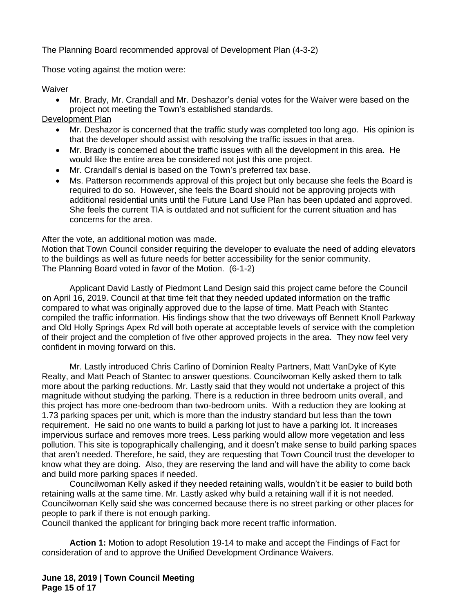The Planning Board recommended approval of Development Plan (4-3-2)

Those voting against the motion were:

Waiver

- Mr. Brady, Mr. Crandall and Mr. Deshazor's denial votes for the Waiver were based on the project not meeting the Town's established standards.
- Development Plan
	- Mr. Deshazor is concerned that the traffic study was completed too long ago. His opinion is that the developer should assist with resolving the traffic issues in that area.
	- Mr. Brady is concerned about the traffic issues with all the development in this area. He would like the entire area be considered not just this one project.
	- Mr. Crandall's denial is based on the Town's preferred tax base.
	- Ms. Patterson recommends approval of this project but only because she feels the Board is required to do so. However, she feels the Board should not be approving projects with additional residential units until the Future Land Use Plan has been updated and approved. She feels the current TIA is outdated and not sufficient for the current situation and has concerns for the area.

After the vote, an additional motion was made.

Motion that Town Council consider requiring the developer to evaluate the need of adding elevators to the buildings as well as future needs for better accessibility for the senior community. The Planning Board voted in favor of the Motion. (6-1-2)

Applicant David Lastly of Piedmont Land Design said this project came before the Council on April 16, 2019. Council at that time felt that they needed updated information on the traffic compared to what was originally approved due to the lapse of time. Matt Peach with Stantec compiled the traffic information. His findings show that the two driveways off Bennett Knoll Parkway and Old Holly Springs Apex Rd will both operate at acceptable levels of service with the completion of their project and the completion of five other approved projects in the area. They now feel very confident in moving forward on this.

Mr. Lastly introduced Chris Carlino of Dominion Realty Partners, Matt VanDyke of Kyte Realty, and Matt Peach of Stantec to answer questions. Councilwoman Kelly asked them to talk more about the parking reductions. Mr. Lastly said that they would not undertake a project of this magnitude without studying the parking. There is a reduction in three bedroom units overall, and this project has more one-bedroom than two-bedroom units. With a reduction they are looking at 1.73 parking spaces per unit, which is more than the industry standard but less than the town requirement. He said no one wants to build a parking lot just to have a parking lot. It increases impervious surface and removes more trees. Less parking would allow more vegetation and less pollution. This site is topographically challenging, and it doesn't make sense to build parking spaces that aren't needed. Therefore, he said, they are requesting that Town Council trust the developer to know what they are doing. Also, they are reserving the land and will have the ability to come back and build more parking spaces if needed.

Councilwoman Kelly asked if they needed retaining walls, wouldn't it be easier to build both retaining walls at the same time. Mr. Lastly asked why build a retaining wall if it is not needed. Councilwoman Kelly said she was concerned because there is no street parking or other places for people to park if there is not enough parking.

Council thanked the applicant for bringing back more recent traffic information.

**Action 1:** Motion to adopt Resolution 19-14 to make and accept the Findings of Fact for consideration of and to approve the Unified Development Ordinance Waivers.

**June 18, 2019 | Town Council Meeting Page 15 of 17**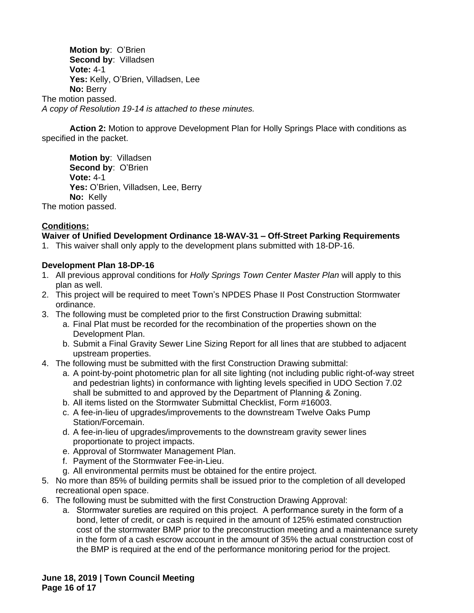**Motion by**: O'Brien **Second by**: Villadsen **Vote:** 4-1 **Yes:** Kelly, O'Brien, Villadsen, Lee **No:** Berry The motion passed. *A copy of Resolution 19-14 is attached to these minutes.*

**Action 2:** Motion to approve Development Plan for Holly Springs Place with conditions as specified in the packet.

**Motion by**: Villadsen **Second by**: O'Brien **Vote:** 4-1 **Yes:** O'Brien, Villadsen, Lee, Berry **No:** Kelly The motion passed.

# **Conditions:**

## **Waiver of Unified Development Ordinance 18-WAV-31 – Off-Street Parking Requirements**

1. This waiver shall only apply to the development plans submitted with 18-DP-16.

## **Development Plan 18-DP-16**

- 1. All previous approval conditions for *Holly Springs Town Center Master Plan* will apply to this plan as well.
- 2. This project will be required to meet Town's NPDES Phase II Post Construction Stormwater ordinance.
- 3. The following must be completed prior to the first Construction Drawing submittal:
	- a. Final Plat must be recorded for the recombination of the properties shown on the Development Plan.
	- b. Submit a Final Gravity Sewer Line Sizing Report for all lines that are stubbed to adjacent upstream properties.
- 4. The following must be submitted with the first Construction Drawing submittal:
	- a. A point-by-point photometric plan for all site lighting (not including public right-of-way street and pedestrian lights) in conformance with lighting levels specified in UDO Section 7.02 shall be submitted to and approved by the Department of Planning & Zoning.
	- b. All items listed on the Stormwater Submittal Checklist, Form #16003.
	- c. A fee-in-lieu of upgrades/improvements to the downstream Twelve Oaks Pump Station/Forcemain.
	- d. A fee-in-lieu of upgrades/improvements to the downstream gravity sewer lines proportionate to project impacts.
	- e. Approval of Stormwater Management Plan.
	- f. Payment of the Stormwater Fee-in-Lieu.
	- g. All environmental permits must be obtained for the entire project.
- 5. No more than 85% of building permits shall be issued prior to the completion of all developed recreational open space.
- 6. The following must be submitted with the first Construction Drawing Approval:
	- a. Stormwater sureties are required on this project. A performance surety in the form of a bond, letter of credit, or cash is required in the amount of 125% estimated construction cost of the stormwater BMP prior to the preconstruction meeting and a maintenance surety in the form of a cash escrow account in the amount of 35% the actual construction cost of the BMP is required at the end of the performance monitoring period for the project.

**June 18, 2019 | Town Council Meeting Page 16 of 17**